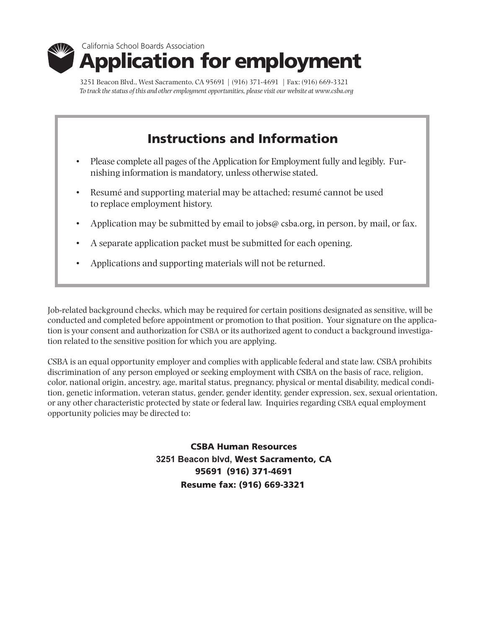

3251 Beacon Blvd., West Sacramento, CA 95691 | (916) 371-4691 | Fax: (916) 669-3321 *To track the status of this and other employment opportunities, please visit our website at www.csba.org*

# Instructions and Information

- Please complete all pages of the Application for Employment fully and legibly. Furnishing information is mandatory, unless otherwise stated.
- Resumé and supporting material may be attached; resumé cannot be used to replace employment history.
- Application may be submitted by email to jobs@ csba.org, in person, by mail, or fax.
- A separate application packet must be submitted for each opening.
- Applications and supporting materials will not be returned.

Job-related background checks, which may be required for certain positions designated as sensitive, will be conducted and completed before appointment or promotion to that position. Your signature on the application is your consent and authorization for CSBA or its authorized agent to conduct a background investigation related to the sensitive position for which you are applying.

CSBA is an equal opportunity employer and complies with applicable federal and state law. CSBA prohibits discrimination of any person employed or seeking employment with CSBA on the basis of race, religion, color, national origin, ancestry, age, marital status, pregnancy, physical or mental disability, medical condition, genetic information, veteran status, gender, gender identity, gender expression, sex, sexual orientation, or any other characteristic protected by state or federal law. Inquiries regarding CSBA equal employment opportunity policies may be directed to:

> CSBA Human Resources **3251 Beacon blvd,** West Sacramento, CA 95691 (916) 371-4691 Resume fax: (916) 669-3321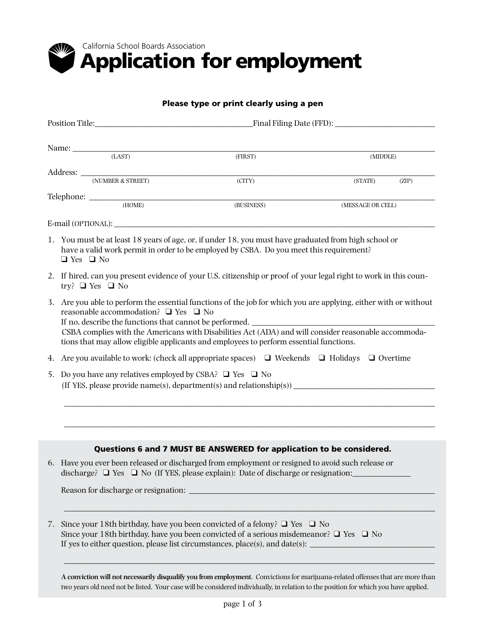

### Please type or print clearly using a pen

|                                                                                     |                                                                                                                                                                                                                                                                                                                                                                                                                                 | $\begin{tabular}{c} Name: \hspace{2.5cm} \textbf{(LAST)} \end{tabular}$ | (FIRST)                                                                                                                                                                                                                                                                                        | (MIDDLE)          |       |  |
|-------------------------------------------------------------------------------------|---------------------------------------------------------------------------------------------------------------------------------------------------------------------------------------------------------------------------------------------------------------------------------------------------------------------------------------------------------------------------------------------------------------------------------|-------------------------------------------------------------------------|------------------------------------------------------------------------------------------------------------------------------------------------------------------------------------------------------------------------------------------------------------------------------------------------|-------------------|-------|--|
|                                                                                     |                                                                                                                                                                                                                                                                                                                                                                                                                                 |                                                                         |                                                                                                                                                                                                                                                                                                |                   |       |  |
|                                                                                     |                                                                                                                                                                                                                                                                                                                                                                                                                                 |                                                                         | (CITY)                                                                                                                                                                                                                                                                                         | (STATE)           | (ZIP) |  |
|                                                                                     |                                                                                                                                                                                                                                                                                                                                                                                                                                 |                                                                         | (BUSINESS)                                                                                                                                                                                                                                                                                     | (MESSAGE OR CELL) |       |  |
|                                                                                     |                                                                                                                                                                                                                                                                                                                                                                                                                                 |                                                                         |                                                                                                                                                                                                                                                                                                |                   |       |  |
|                                                                                     | $\Box$ Yes $\Box$ No                                                                                                                                                                                                                                                                                                                                                                                                            |                                                                         | 1. You must be at least 18 years of age, or, if under 18, you must have graduated from high school or<br>have a valid work permit in order to be employed by CSBA. Do you meet this requirement?                                                                                               |                   |       |  |
|                                                                                     | 2. If hired, can you present evidence of your U.S. citizenship or proof of your legal right to work in this coun-<br>try? $\Box$ Yes $\Box$ No                                                                                                                                                                                                                                                                                  |                                                                         |                                                                                                                                                                                                                                                                                                |                   |       |  |
|                                                                                     | 3. Are you able to perform the essential functions of the job for which you are applying, either with or without<br>reasonable accommodation? $\Box$ Yes $\Box$ No<br>If no, describe the functions that cannot be performed.<br>CSBA complies with the Americans with Disabilities Act (ADA) and will consider reasonable accommoda-<br>tions that may allow eligible applicants and employees to perform essential functions. |                                                                         |                                                                                                                                                                                                                                                                                                |                   |       |  |
| 4.                                                                                  |                                                                                                                                                                                                                                                                                                                                                                                                                                 |                                                                         | Are you available to work: (check all appropriate spaces) $\Box$ Weekends $\Box$ Holidays $\Box$ Overtime                                                                                                                                                                                      |                   |       |  |
|                                                                                     |                                                                                                                                                                                                                                                                                                                                                                                                                                 | 5. Do you have any relatives employed by CSBA? $\Box$ Yes $\Box$ No     |                                                                                                                                                                                                                                                                                                |                   |       |  |
| (If YES, please provide name(s), department(s) and relationship(s)) $\qquad \qquad$ |                                                                                                                                                                                                                                                                                                                                                                                                                                 |                                                                         |                                                                                                                                                                                                                                                                                                |                   |       |  |
|                                                                                     |                                                                                                                                                                                                                                                                                                                                                                                                                                 |                                                                         | Questions 6 and 7 MUST BE ANSWERED for application to be considered.                                                                                                                                                                                                                           |                   |       |  |
|                                                                                     |                                                                                                                                                                                                                                                                                                                                                                                                                                 |                                                                         | 6. Have you ever been released or discharged from employment or resigned to avoid such release or<br>discharge? $\Box$ Yes $\Box$ No (If YES, please explain): Date of discharge or resignation:                                                                                               |                   |       |  |
|                                                                                     |                                                                                                                                                                                                                                                                                                                                                                                                                                 |                                                                         |                                                                                                                                                                                                                                                                                                |                   |       |  |
| 7.                                                                                  |                                                                                                                                                                                                                                                                                                                                                                                                                                 |                                                                         | Since your 18th birthday, have you been convicted of a felony? $\Box$ Yes $\Box$ No<br>Since your 18th birthday, have you been convicted of a serious misdemeanor? $\Box$ Yes $\Box$ No<br>If yes to either question, please list circumstances, place(s), and date(s): $\sqrt{\frac{2}{\pi}}$ |                   |       |  |

**A conviction will not necessarily disqualify you from employment**. Convictionsfor marijuana-related offensesthat are more than two years old need not be listed. Your case will be considered individually, in relation to the position for which you have applied.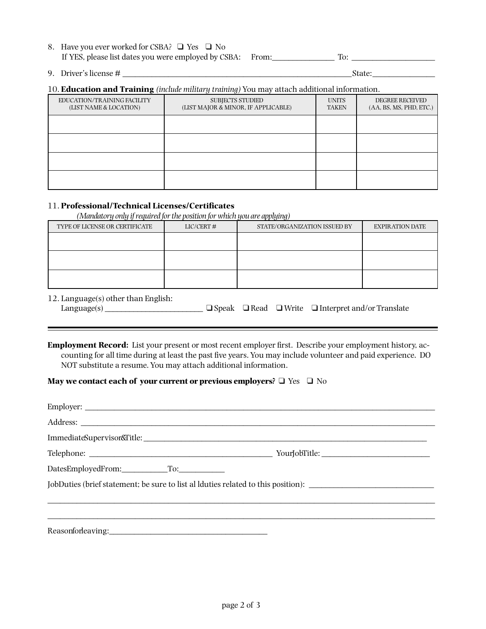| 8. Have you ever worked for CSBA? $\Box$ Yes $\Box$ No     |  |
|------------------------------------------------------------|--|
| If YES, please list dates you were employed by CSBA: From: |  |

9. Driver's license # \_\_\_\_\_\_\_\_\_\_\_\_\_\_\_\_\_\_\_\_\_\_\_\_\_\_\_\_\_\_\_\_\_\_\_\_\_\_\_\_\_\_\_\_\_\_\_\_\_\_\_\_\_\_\_State:\_\_\_\_\_\_\_\_\_\_\_\_\_\_\_

#### 10. **Education and Training** *(include military training)* You may attach additional information.

| EDUCATION/TRAINING FACILITY<br>(LIST NAME & LOCATION) | <b>SUBJECTS STUDIED</b><br>(LIST MAJOR & MINOR, IF APPLICABLE) | <b>UNITS</b><br>TAKEN | <b>DEGREE RECEIVED</b><br>(AA, BS, MS, PHD, ETC.) |
|-------------------------------------------------------|----------------------------------------------------------------|-----------------------|---------------------------------------------------|
|                                                       |                                                                |                       |                                                   |
|                                                       |                                                                |                       |                                                   |
|                                                       |                                                                |                       |                                                   |
|                                                       |                                                                |                       |                                                   |

## 11. **Professional/Technical Licenses/Certificates**

*(Mandatory only if required for the position for which you are applying)*

| TYPE OF LICENSE OR CERTIFICATE | $LIC/CERT$ # | STATE/ORGANIZATION ISSUED BY | <b>EXPIRATION DATE</b> |
|--------------------------------|--------------|------------------------------|------------------------|
|                                |              |                              |                        |
|                                |              |                              |                        |
|                                |              |                              |                        |
|                                |              |                              |                        |
|                                |              |                              |                        |
|                                |              |                              |                        |

12. Language(s) other than English:

 $\blacksquare$ 

| Language $(s)$ |  |  |  | $\Box$ Speak $\Box$ Read $\Box$ Write $\Box$ Interpret and/or Translate |
|----------------|--|--|--|-------------------------------------------------------------------------|
|----------------|--|--|--|-------------------------------------------------------------------------|

**Employment Record:** List your present or most recent employer first. Describe your employment history, accounting for all time during at least the past five years. You may include volunteer and paid experience. DO NOT substitute a resume. You may attach additional information.

## **May we contact each of your current or previous employers?**  $\Box$  Yes  $\Box$  No

| DatesEmployedFrom: To:                                                            |  |
|-----------------------------------------------------------------------------------|--|
| JobDuties (brief statement; be sure to list al lduties related to this position): |  |
|                                                                                   |  |
|                                                                                   |  |
| Reasonfor leaving:                                                                |  |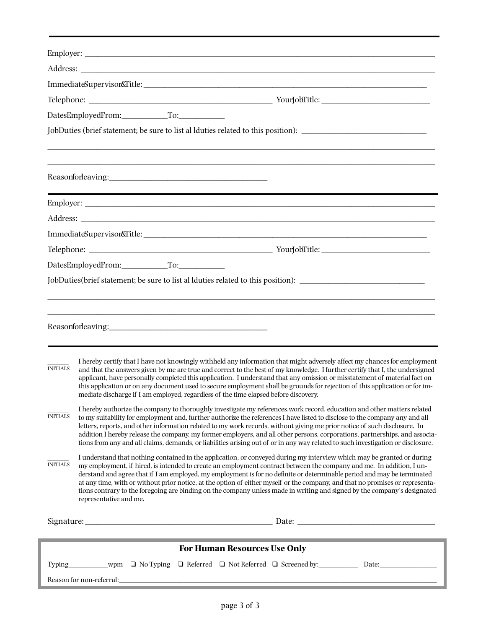|                 | DatesEmployedFrom: To:                                                                                                                                                                                                                                                                                                                                                                                                                                                                                                                                                                                                                                           |  |  |  |  |
|-----------------|------------------------------------------------------------------------------------------------------------------------------------------------------------------------------------------------------------------------------------------------------------------------------------------------------------------------------------------------------------------------------------------------------------------------------------------------------------------------------------------------------------------------------------------------------------------------------------------------------------------------------------------------------------------|--|--|--|--|
|                 | JobDuties (brief statement; be sure to list al lduties related to this position): ____________________________                                                                                                                                                                                                                                                                                                                                                                                                                                                                                                                                                   |  |  |  |  |
|                 |                                                                                                                                                                                                                                                                                                                                                                                                                                                                                                                                                                                                                                                                  |  |  |  |  |
|                 |                                                                                                                                                                                                                                                                                                                                                                                                                                                                                                                                                                                                                                                                  |  |  |  |  |
|                 |                                                                                                                                                                                                                                                                                                                                                                                                                                                                                                                                                                                                                                                                  |  |  |  |  |
|                 |                                                                                                                                                                                                                                                                                                                                                                                                                                                                                                                                                                                                                                                                  |  |  |  |  |
|                 |                                                                                                                                                                                                                                                                                                                                                                                                                                                                                                                                                                                                                                                                  |  |  |  |  |
|                 |                                                                                                                                                                                                                                                                                                                                                                                                                                                                                                                                                                                                                                                                  |  |  |  |  |
|                 |                                                                                                                                                                                                                                                                                                                                                                                                                                                                                                                                                                                                                                                                  |  |  |  |  |
|                 | JobDuties(brief statement; be sure to list al lduties related to this position): _____________________________                                                                                                                                                                                                                                                                                                                                                                                                                                                                                                                                                   |  |  |  |  |
|                 |                                                                                                                                                                                                                                                                                                                                                                                                                                                                                                                                                                                                                                                                  |  |  |  |  |
|                 |                                                                                                                                                                                                                                                                                                                                                                                                                                                                                                                                                                                                                                                                  |  |  |  |  |
|                 |                                                                                                                                                                                                                                                                                                                                                                                                                                                                                                                                                                                                                                                                  |  |  |  |  |
|                 |                                                                                                                                                                                                                                                                                                                                                                                                                                                                                                                                                                                                                                                                  |  |  |  |  |
| <b>INITIALS</b> | I hereby certify that I have not knowingly withheld any information that might adversely affect my chances for employment<br>and that the answers given by me are true and correct to the best of my knowledge. I further certify that I, the undersigned<br>applicant, have personally completed this application. I understand that any omission or misstatement of material fact on<br>this application or on any document used to secure employment shall be grounds for rejection of this application or for im-<br>mediate discharge if I am employed, regardless of the time elapsed before discovery.                                                    |  |  |  |  |
| <b>INITIALS</b> | I hereby authorize the company to thoroughly investigate my references, work record, education and other matters related<br>to my suitability for employment and, further authorize the references I have listed to disclose to the company any and all<br>letters, reports, and other information related to my work records, without giving me prior notice of such disclosure. In<br>addition I hereby release the company, my former employers, and all other persons, corporations, partnerships, and associa-<br>tions from any and all claims, demands, or liabilities arising out of or in any way related to such investigation or disclosure.          |  |  |  |  |
| <b>INITIALS</b> | I understand that nothing contained in the application, or conveyed during my interview which may be granted or during<br>my employment, if hired, is intended to create an employment contract between the company and me. In addition, I un-<br>derstand and agree that if I am employed, my employment is for no definite or determinable period and may be terminated<br>at any time, with or without prior notice, at the option of either myself or the company, and that no promises or representa-<br>tions contrary to the foregoing are binding on the company unless made in writing and signed by the company's designated<br>representative and me. |  |  |  |  |
|                 |                                                                                                                                                                                                                                                                                                                                                                                                                                                                                                                                                                                                                                                                  |  |  |  |  |
|                 |                                                                                                                                                                                                                                                                                                                                                                                                                                                                                                                                                                                                                                                                  |  |  |  |  |
|                 | <b>For Human Resources Use Only</b>                                                                                                                                                                                                                                                                                                                                                                                                                                                                                                                                                                                                                              |  |  |  |  |
|                 |                                                                                                                                                                                                                                                                                                                                                                                                                                                                                                                                                                                                                                                                  |  |  |  |  |
|                 |                                                                                                                                                                                                                                                                                                                                                                                                                                                                                                                                                                                                                                                                  |  |  |  |  |